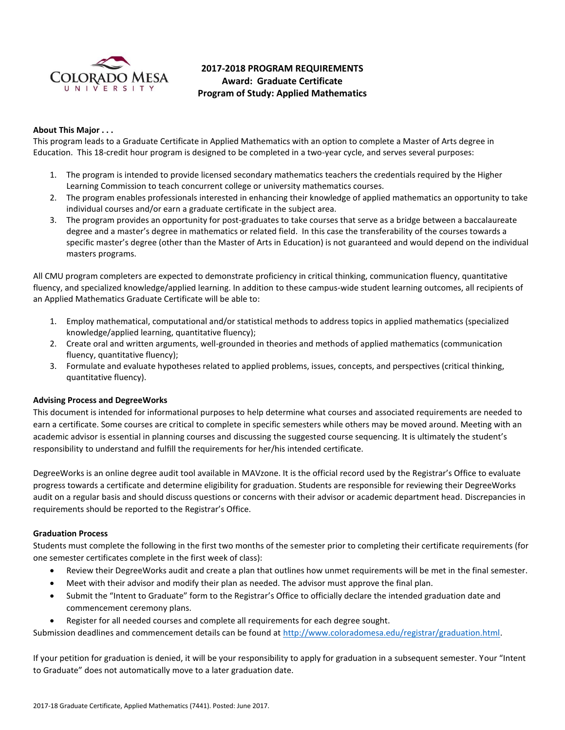

# **2017-2018 PROGRAM REQUIREMENTS Award: Graduate Certificate Program of Study: Applied Mathematics**

# **About This Major . . .**

This program leads to a Graduate Certificate in Applied Mathematics with an option to complete a Master of Arts degree in Education. This 18-credit hour program is designed to be completed in a two-year cycle, and serves several purposes:

- 1. The program is intended to provide licensed secondary mathematics teachers the credentials required by the Higher Learning Commission to teach concurrent college or university mathematics courses.
- 2. The program enables professionals interested in enhancing their knowledge of applied mathematics an opportunity to take individual courses and/or earn a graduate certificate in the subject area.
- 3. The program provides an opportunity for post-graduates to take courses that serve as a bridge between a baccalaureate degree and a master's degree in mathematics or related field. In this case the transferability of the courses towards a specific master's degree (other than the Master of Arts in Education) is not guaranteed and would depend on the individual masters programs.

All CMU program completers are expected to demonstrate proficiency in critical thinking, communication fluency, quantitative fluency, and specialized knowledge/applied learning. In addition to these campus-wide student learning outcomes, all recipients of an Applied Mathematics Graduate Certificate will be able to:

- 1. Employ mathematical, computational and/or statistical methods to address topics in applied mathematics (specialized knowledge/applied learning, quantitative fluency);
- 2. Create oral and written arguments, well-grounded in theories and methods of applied mathematics (communication fluency, quantitative fluency);
- 3. Formulate and evaluate hypotheses related to applied problems, issues, concepts, and perspectives (critical thinking, quantitative fluency).

# **Advising Process and DegreeWorks**

This document is intended for informational purposes to help determine what courses and associated requirements are needed to earn a certificate. Some courses are critical to complete in specific semesters while others may be moved around. Meeting with an academic advisor is essential in planning courses and discussing the suggested course sequencing. It is ultimately the student's responsibility to understand and fulfill the requirements for her/his intended certificate.

DegreeWorks is an online degree audit tool available in MAVzone. It is the official record used by the Registrar's Office to evaluate progress towards a certificate and determine eligibility for graduation. Students are responsible for reviewing their DegreeWorks audit on a regular basis and should discuss questions or concerns with their advisor or academic department head. Discrepancies in requirements should be reported to the Registrar's Office.

## **Graduation Process**

Students must complete the following in the first two months of the semester prior to completing their certificate requirements (for one semester certificates complete in the first week of class):

- Review their DegreeWorks audit and create a plan that outlines how unmet requirements will be met in the final semester.
- Meet with their advisor and modify their plan as needed. The advisor must approve the final plan.
- Submit the "Intent to Graduate" form to the Registrar's Office to officially declare the intended graduation date and commencement ceremony plans.
- Register for all needed courses and complete all requirements for each degree sought.

Submission deadlines and commencement details can be found at [http://www.coloradomesa.edu/registrar/graduation.html.](http://www.coloradomesa.edu/registrar/graduation.html)

If your petition for graduation is denied, it will be your responsibility to apply for graduation in a subsequent semester. Your "Intent to Graduate" does not automatically move to a later graduation date.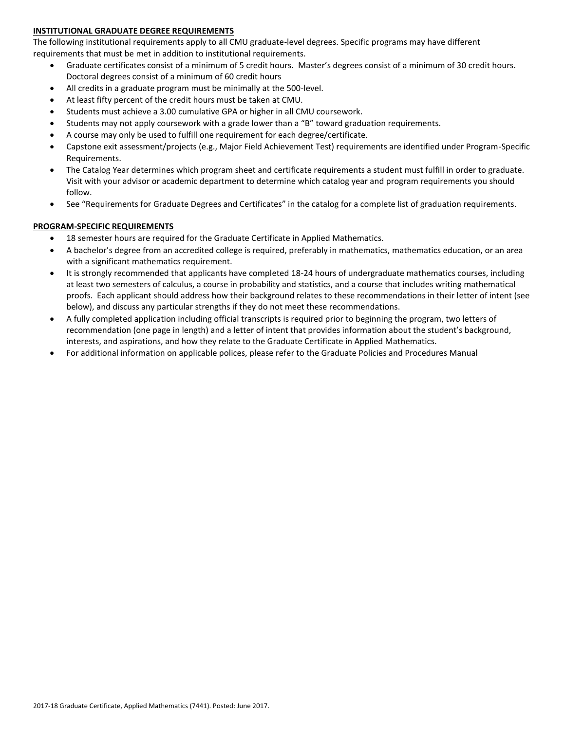# **INSTITUTIONAL GRADUATE DEGREE REQUIREMENTS**

The following institutional requirements apply to all CMU graduate-level degrees. Specific programs may have different requirements that must be met in addition to institutional requirements.

- Graduate certificates consist of a minimum of 5 credit hours. Master's degrees consist of a minimum of 30 credit hours. Doctoral degrees consist of a minimum of 60 credit hours
- All credits in a graduate program must be minimally at the 500-level.
- At least fifty percent of the credit hours must be taken at CMU.
- Students must achieve a 3.00 cumulative GPA or higher in all CMU coursework.
- Students may not apply coursework with a grade lower than a "B" toward graduation requirements.
- A course may only be used to fulfill one requirement for each degree/certificate.
- Capstone exit assessment/projects (e.g., Major Field Achievement Test) requirements are identified under Program-Specific Requirements.
- The Catalog Year determines which program sheet and certificate requirements a student must fulfill in order to graduate. Visit with your advisor or academic department to determine which catalog year and program requirements you should follow.
- See "Requirements for Graduate Degrees and Certificates" in the catalog for a complete list of graduation requirements.

## **PROGRAM-SPECIFIC REQUIREMENTS**

- 18 semester hours are required for the Graduate Certificate in Applied Mathematics.
- A bachelor's degree from an accredited college is required, preferably in mathematics, mathematics education, or an area with a significant mathematics requirement.
- It is strongly recommended that applicants have completed 18-24 hours of undergraduate mathematics courses, including at least two semesters of calculus, a course in probability and statistics, and a course that includes writing mathematical proofs. Each applicant should address how their background relates to these recommendations in their letter of intent (see below), and discuss any particular strengths if they do not meet these recommendations.
- A fully completed application including official transcripts is required prior to beginning the program, two letters of recommendation (one page in length) and a letter of intent that provides information about the student's background, interests, and aspirations, and how they relate to the Graduate Certificate in Applied Mathematics.
- For additional information on applicable polices, please refer to the Graduate Policies and Procedures Manual